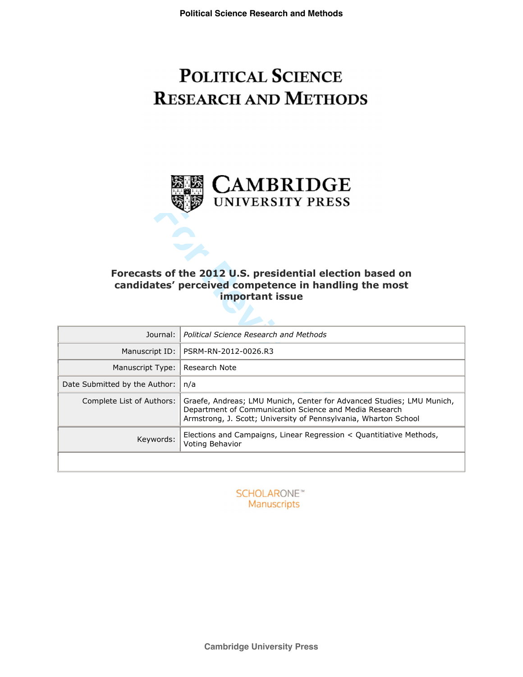# **POLITICAL SCIENCE RESEARCH AND METHODS**



# **Forecasts of the 2012 U.S. presidential election based on candidates' perceived competence in handling the most important issue**

| UNIVERSIIY PRESS                                                                                                                             |                                                                                                                                                                                                    |  |  |  |  |
|----------------------------------------------------------------------------------------------------------------------------------------------|----------------------------------------------------------------------------------------------------------------------------------------------------------------------------------------------------|--|--|--|--|
|                                                                                                                                              |                                                                                                                                                                                                    |  |  |  |  |
|                                                                                                                                              |                                                                                                                                                                                                    |  |  |  |  |
|                                                                                                                                              |                                                                                                                                                                                                    |  |  |  |  |
|                                                                                                                                              |                                                                                                                                                                                                    |  |  |  |  |
| Forecasts of the 2012 U.S. presidential election based on<br>candidates' perceived competence in handling the most<br><b>important issue</b> |                                                                                                                                                                                                    |  |  |  |  |
| Journal:                                                                                                                                     | <b>Political Science Research and Methods</b>                                                                                                                                                      |  |  |  |  |
| Manuscript ID:                                                                                                                               | PSRM-RN-2012-0026.R3                                                                                                                                                                               |  |  |  |  |
| Manuscript Type:                                                                                                                             | Research Note                                                                                                                                                                                      |  |  |  |  |
| Date Submitted by the Author:                                                                                                                | n/a                                                                                                                                                                                                |  |  |  |  |
| Complete List of Authors:                                                                                                                    | Graefe, Andreas; LMU Munich, Center for Advanced Studies; LMU Munich,<br>Department of Communication Science and Media Research<br>Armstrong, J. Scott; University of Pennsylvania, Wharton School |  |  |  |  |
| Keywords:                                                                                                                                    | Elections and Campaigns, Linear Regression < Quantitiative Methods,<br>Voting Behavior                                                                                                             |  |  |  |  |
|                                                                                                                                              |                                                                                                                                                                                                    |  |  |  |  |

**SCHOLARONE™** Manuscripts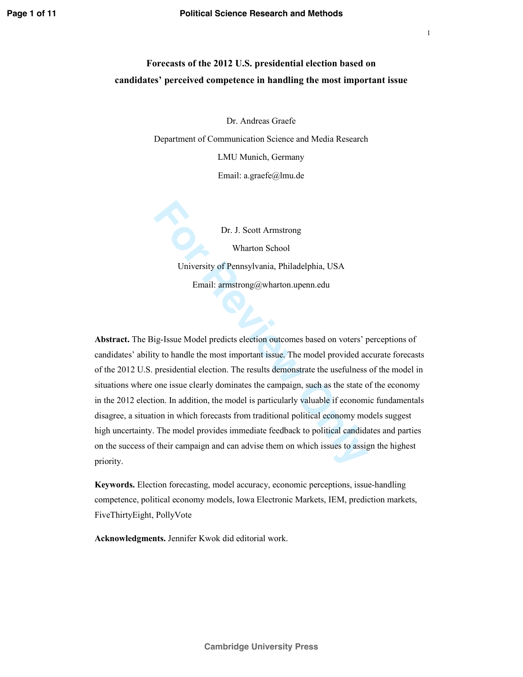Dr. Andreas Graefe

Department of Communication Science and Media Research

LMU Munich, Germany

Email: a.graefe@lmu.de

Dr. J. Scott Armstrong Wharton School University of Pennsylvania, Philadelphia, USA Email: armstrong@wharton.upenn.edu

**For Fourier Section** School<br>
For Reviewers of Pennsylvania, Philadelphia, USA<br>
Formail: armstrong@wharton.upenn.edu<br>
Formail: armstrong@wharton.upenn.edu<br>
Formail: armstrong@wharton.upenn.edu<br>
ig-Issue Model predicts elec **Abstract.** The Big-Issue Model predicts election outcomes based on voters' perceptions of candidates' ability to handle the most important issue. The model provided accurate forecasts of the 2012 U.S. presidential election. The results demonstrate the usefulness of the model in situations where one issue clearly dominates the campaign, such as the state of the economy in the 2012 election. In addition, the model is particularly valuable if economic fundamentals disagree, a situation in which forecasts from traditional political economy models suggest high uncertainty. The model provides immediate feedback to political candidates and parties on the success of their campaign and can advise them on which issues to assign the highest priority.

**Keywords.** Election forecasting, model accuracy, economic perceptions, issue-handling competence, political economy models, Iowa Electronic Markets, IEM, prediction markets, FiveThirtyEight, PollyVote

**Acknowledgments.** Jennifer Kwok did editorial work.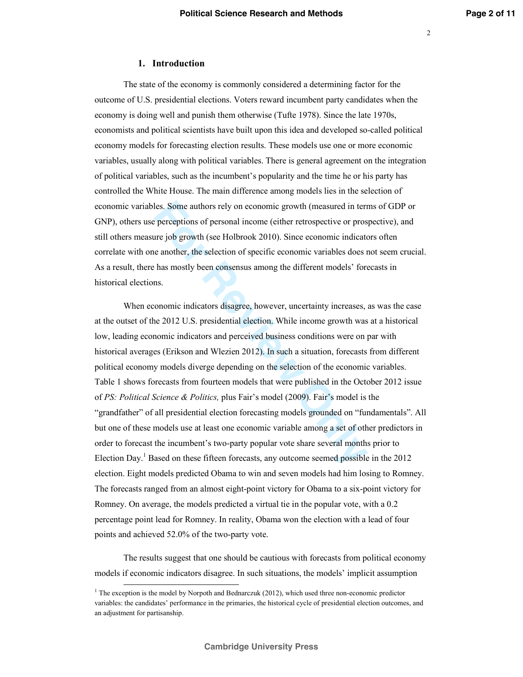## **1. Introduction**

The state of the economy is commonly considered a determining factor for the outcome of U.S. presidential elections. Voters reward incumbent party candidates when the economy is doing well and punish them otherwise (Tufte 1978). Since the late 1970s, economists and political scientists have built upon this idea and developed so-called political economy models for forecasting election results. These models use one or more economic variables, usually along with political variables. There is general agreement on the integration of political variables, such as the incumbent's popularity and the time he or his party has controlled the White House. The main difference among models lies in the selection of economic variables. Some authors rely on economic growth (measured in terms of GDP or GNP), others use perceptions of personal income (either retrospective or prospective), and still others measure job growth (see Holbrook 2010). Since economic indicators often correlate with one another, the selection of specific economic variables does not seem crucial. As a result, there has mostly been consensus among the different models' forecasts in historical elections.

les. Some authors rely on economic growth (measured in terr<br>perceptions of personal income (either retrospective or pros-<br>are job growth (see Holbrook 2010). Since economic indicato<br>e another, the selection of specific eco When economic indicators disagree, however, uncertainty increases, as was the case at the outset of the 2012 U.S. presidential election. While income growth was at a historical low, leading economic indicators and perceived business conditions were on par with historical averages (Erikson and Wlezien 2012). In such a situation, forecasts from different political economy models diverge depending on the selection of the economic variables. Table 1 shows forecasts from fourteen models that were published in the October 2012 issue of *PS: Political Science & Politics,* plus Fair's model (2009). Fair's model is the "grandfather" of all presidential election forecasting models grounded on "fundamentals". All but one of these models use at least one economic variable among a set of other predictors in order to forecast the incumbent's two-party popular vote share several months prior to Election Day.<sup>1</sup> Based on these fifteen forecasts, any outcome seemed possible in the 2012 election. Eight models predicted Obama to win and seven models had him losing to Romney. The forecasts ranged from an almost eight-point victory for Obama to a six-point victory for Romney. On average, the models predicted a virtual tie in the popular vote, with a 0.2 percentage point lead for Romney. In reality, Obama won the election with a lead of four points and achieved 52.0% of the two-party vote.

The results suggest that one should be cautious with forecasts from political economy models if economic indicators disagree. In such situations, the models' implicit assumption

<u>.</u>

<sup>&</sup>lt;sup>1</sup> The exception is the model by Norpoth and Bednarczuk (2012), which used three non-economic predictor variables: the candidates' performance in the primaries, the historical cycle of presidential election outcomes, and an adjustment for partisanship.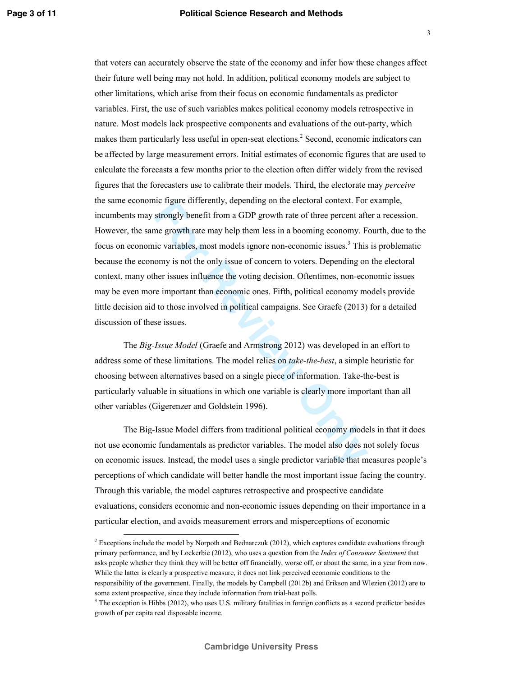Incomply benefit from a GDP growth rate of three percent atoms. For strongly benefit from a GDP growth rate of three percent after the growth rate may help them less in a booming economy. Figure ariables, most models ignor that voters can accurately observe the state of the economy and infer how these changes affect their future well being may not hold. In addition, political economy models are subject to other limitations, which arise from their focus on economic fundamentals as predictor variables. First, the use of such variables makes political economy models retrospective in nature. Most models lack prospective components and evaluations of the out-party, which makes them particularly less useful in open-seat elections.<sup>2</sup> Second, economic indicators can be affected by large measurement errors. Initial estimates of economic figures that are used to calculate the forecasts a few months prior to the election often differ widely from the revised figures that the forecasters use to calibrate their models. Third, the electorate may *perceive* the same economic figure differently, depending on the electoral context. For example, incumbents may strongly benefit from a GDP growth rate of three percent after a recession. However, the same growth rate may help them less in a booming economy. Fourth, due to the focus on economic variables, most models ignore non-economic issues.<sup>3</sup> This is problematic because the economy is not the only issue of concern to voters. Depending on the electoral context, many other issues influence the voting decision. Oftentimes, non-economic issues may be even more important than economic ones. Fifth, political economy models provide little decision aid to those involved in political campaigns. See Graefe (2013) for a detailed discussion of these issues.

The *Big-Issue Model* (Graefe and Armstrong 2012) was developed in an effort to address some of these limitations. The model relies on *take-the-best*, a simple heuristic for choosing between alternatives based on a single piece of information. Take-the-best is particularly valuable in situations in which one variable is clearly more important than all other variables (Gigerenzer and Goldstein 1996).

The Big-Issue Model differs from traditional political economy models in that it does not use economic fundamentals as predictor variables. The model also does not solely focus on economic issues. Instead, the model uses a single predictor variable that measures people's perceptions of which candidate will better handle the most important issue facing the country. Through this variable, the model captures retrospective and prospective candidate evaluations, considers economic and non-economic issues depending on their importance in a particular election, and avoids measurement errors and misperceptions of economic

-

 $<sup>2</sup>$  Exceptions include the model by Norpoth and Bednarczuk (2012), which captures candidate evaluations through</sup> primary performance, and by Lockerbie (2012), who uses a question from the *Index of Consumer Sentiment* that asks people whether they think they will be better off financially, worse off, or about the same, in a year from now. While the latter is clearly a prospective measure, it does not link perceived economic conditions to the responsibility of the government. Finally, the models by Campbell (2012b) and Erikson and Wlezien (2012) are to

some extent prospective, since they include information from trial-heat polls.

<sup>&</sup>lt;sup>3</sup> The exception is Hibbs (2012), who uses U.S. military fatalities in foreign conflicts as a second predictor besides growth of per capita real disposable income.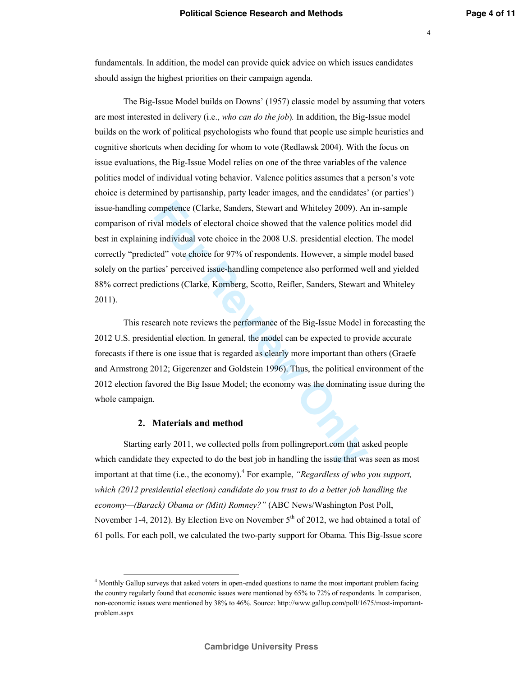fundamentals. In addition, the model can provide quick advice on which issues candidates should assign the highest priorities on their campaign agenda.

mpetence (Clarke, Sanders, Stewart and Whiteley 2009). Ar<br>val models of electoral choice showed that the valence politic<br>g individual vote choice in the 2008 U.S. presidential election<br>ted" vote choice for 97% of responden The Big-Issue Model builds on Downs' (1957) classic model by assuming that voters are most interested in delivery (i.e., *who can do the job* )*.* In addition, the Big-Issue model builds on the work of political psychologists who found that people use simple heuristics and cognitive shortcuts when deciding for whom to vote (Redlawsk 2004). With the focus on issue evaluations, the Big-Issue Model relies on one of the three variables of the valence politics model of individual voting behavior. Valence politics assumes that a person's vote choice is determined by partisanship, party leader images, and the candidates' (or parties') issue-handling competence (Clarke, Sanders, Stewart and Whiteley 2009). An in-sample comparison of rival models of electoral choice showed that the valence politics model did best in explaining individual vote choice in the 2008 U.S. presidential election. The model correctly "predicted" vote choice for 97% of respondents. However, a simple model based solely on the parties' perceived issue-handling competence also performed well and yielded 88% correct predictions (Clarke, Kornberg, Scotto, Reifler, Sanders, Stewart and Whiteley 2011).

This research note reviews the performance of the Big-Issue Model in forecasting the 2012 U.S. presidential election. In general, the model can be expected to provide accurate forecasts if there is one issue that is regarded as clearly more important than others (Graefe and Armstrong 2012; Gigerenzer and Goldstein 1996). Thus, the political environment of the 2012 election favored the Big Issue Model; the economy was the dominating issue during the whole campaign.

#### **2. Materials and method**

-

Starting early 2011, we collected polls from pollingreport.com that asked people which candidate they expected to do the best job in handling the issue that was seen as most important at that time (i.e., the economy). 4 For example, *"Regardless of who you support, which (2012 presidential election) candidate do you trust to do a better job handling the economy—(Barack) Obama or (Mitt) Romney?"* (ABC News/Washington Post Poll, November 1-4, 2012). By Election Eve on November  $5<sup>th</sup>$  of 2012, we had obtained a total of 61 polls. For each poll, we calculated the two-party support for Obama. This Big-Issue score

<sup>4</sup> Monthly Gallup surveys that asked voters in open-ended questions to name the most important problem facing the country regularly found that economic issues were mentioned by 65% to 72% of respondents. In comparison, non-economic issues were mentioned by 38% to 46%. Source: http://www.gallup.com/poll/1675/most-importantproblem.aspx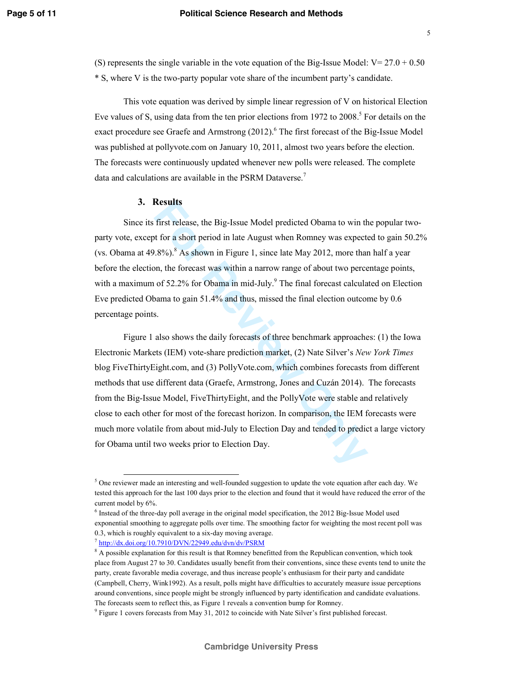(S) represents the single variable in the vote equation of the Big-Issue Model:  $V = 27.0 + 0.50$ \* S, where V is the two-party popular vote share of the incumbent party's candidate.

This vote equation was derived by simple linear regression of V on historical Election Eve values of S, using data from the ten prior elections from 1972 to 2008.<sup>5</sup> For details on the exact procedure see Graefe and Armstrong (2012).<sup>6</sup> The first forecast of the Big-Issue Model was published at pollyvote.com on January 10, 2011, almost two years before the election. The forecasts were continuously updated whenever new polls were released. The complete data and calculations are available in the PSRM Dataverse.<sup>7</sup>

## **3. Results**

Since its first release, the Big-Issue Model predicted Obama to win the popular twoparty vote, except for a short period in late August when Romney was expected to gain 50.2% (vs. Obama at  $49.8\%$ ).  $8$  As shown in Figure 1, since late May 2012, more than half a year before the election, the forecast was within a narrow range of about two percentage points, with a maximum of 52.2% for Obama in mid-July.<sup>9</sup> The final forecast calculated on Election Eve predicted Obama to gain 51.4% and thus, missed the final election outcome by 0.6 percentage points.

**Example 15**<br>
first release, the Big-Issue Model predicted Obama to win th<br>
the or a short period in late August when Romney was expected<br>
1896).<sup>8</sup> As shown in Figure 1, since late May 2012, more thar<br>
on, the forecast wa Figure 1 also shows the daily forecasts of three benchmark approaches: (1) the Iowa Electronic Markets (IEM) vote-share prediction market, (2) Nate Silver's *New York Times* blog FiveThirtyEight.com, and (3) PollyVote.com, which combines forecasts from different methods that use different data (Graefe, Armstrong, Jones and Cuzán 2014). The forecasts from the Big-Issue Model, FiveThirtyEight, and the PollyVote were stable and relatively close to each other for most of the forecast horizon. In comparison, the IEM forecasts were much more volatile from about mid-July to Election Day and tended to predict a large victory for Obama until two weeks prior to Election Day.

-

<sup>&</sup>lt;sup>5</sup> One reviewer made an interesting and well-founded suggestion to update the vote equation after each day. We tested this approach for the last 100 days prior to the election and found that it would have reduced the error of the current model by 6%.

 $6$  Instead of the three-day poll average in the original model specification, the 2012 Big-Issue Model used exponential smoothing to aggregate polls over time. The smoothing factor for weighting the most recent poll was 0.3, which is roughly equivalent to a six-day moving average.<br><sup>7</sup> http://dx.doi.org/10.7910/DVN/22949.edu/dvn/dv/PSRM

<sup>&</sup>lt;sup>8</sup> A possible explanation for this result is that Romney benefitted from the Republican convention, which took place from August 27 to 30. Candidates usually benefit from their conventions, since these events tend to unite the party, create favorable media coverage, and thus increase people's enthusiasm for their party and candidate (Campbell, Cherry, Wink1992). As a result, polls might have difficulties to accurately measure issue perceptions around conventions, since people might be strongly influenced by party identification and candidate evaluations. The forecasts seem to reflect this, as Figure 1 reveals a convention bump for Romney.

<sup>&</sup>lt;sup>9</sup> Figure 1 covers forecasts from May 31, 2012 to coincide with Nate Silver's first published forecast.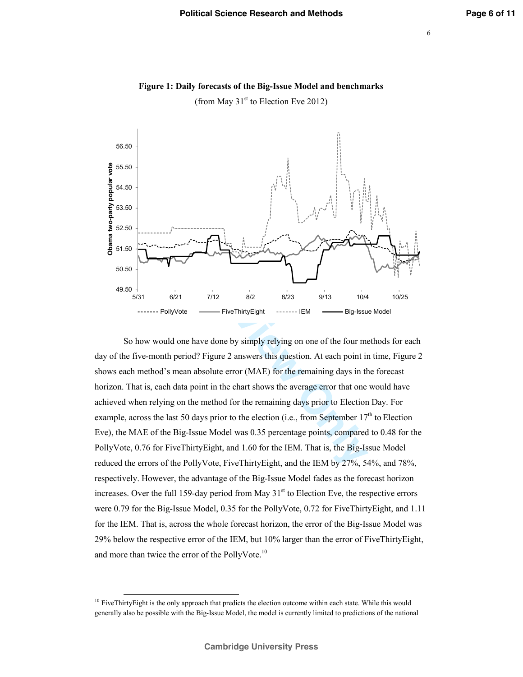

**Figure 1: Daily forecasts of the Big-Issue Model and benchmarks** 

(from May  $31<sup>st</sup>$  to Election Eve 2012)

**For PollyVote**  $\frac{1}{2}$  **For Fluity Eight** and 1.60 for the IEM. That is, the Big-Isson of the PollyVote, FiveThirty Eight and 1.60 for the TWI, That is, the Big-Isson of the Big-Issue Model was 0.35 percentage points, c So how would one have done by simply relying on one of the four methods for each day of the five-month period? Figure 2 answers this question. At each point in time, Figure 2 shows each method's mean absolute error (MAE) for the remaining days in the forecast horizon. That is, each data point in the chart shows the average error that one would have achieved when relying on the method for the remaining days prior to Election Day. For example, across the last 50 days prior to the election (i.e., from September  $17<sup>th</sup>$  to Election Eve), the MAE of the Big-Issue Model was 0.35 percentage points, compared to 0.48 for the PollyVote, 0.76 for FiveThirtyEight, and 1.60 for the IEM. That is, the Big-Issue Model reduced the errors of the PollyVote, FiveThirtyEight, and the IEM by 27%, 54%, and 78%, respectively. However, the advantage of the Big-Issue Model fades as the forecast horizon increases. Over the full 159-day period from May  $31<sup>st</sup>$  to Election Eve, the respective errors were 0.79 for the Big-Issue Model, 0.35 for the PollyVote, 0.72 for FiveThirtyEight, and 1.11 for the IEM. That is, across the whole forecast horizon, the error of the Big-Issue Model was 29% below the respective error of the IEM, but 10% larger than the error of FiveThirtyEight, and more than twice the error of the PollyVote.<sup>10</sup>

<sup>&</sup>lt;sup>10</sup> FiveThirtyEight is the only approach that predicts the election outcome within each state. While this would generally also be possible with the Big-Issue Model, the model is currently limited to predictions of the national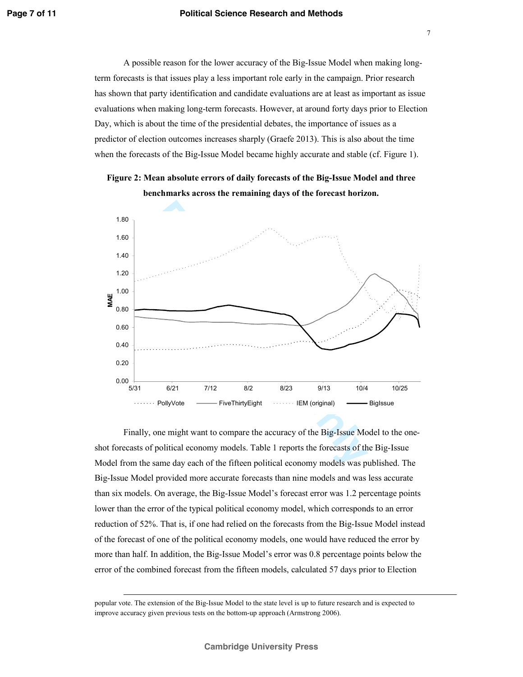## **Political Science Research and Methods**

A possible reason for the lower accuracy of the Big-Issue Model when making longterm forecasts is that issues play a less important role early in the campaign. Prior research has shown that party identification and candidate evaluations are at least as important as issue evaluations when making long-term forecasts. However, at around forty days prior to Election Day, which is about the time of the presidential debates, the importance of issues as a predictor of election outcomes increases sharply (Graefe 2013). This is also about the time when the forecasts of the Big-Issue Model became highly accurate and stable (cf. Figure 1).





Finally, one might want to compare the accuracy of the Big-Issue Model to the oneshot forecasts of political economy models. Table 1 reports the forecasts of the Big-Issue Model from the same day each of the fifteen political economy models was published. The Big-Issue Model provided more accurate forecasts than nine models and was less accurate than six models. On average, the Big-Issue Model's forecast error was 1.2 percentage points lower than the error of the typical political economy model, which corresponds to an error reduction of 52%. That is, if one had relied on the forecasts from the Big-Issue Model instead of the forecast of one of the political economy models, one would have reduced the error by more than half. In addition, the Big-Issue Model's error was 0.8 percentage points below the error of the combined forecast from the fifteen models, calculated 57 days prior to Election

popular vote. The extension of the Big-Issue Model to the state level is up to future research and is expected to improve accuracy given previous tests on the bottom-up approach (Armstrong 2006).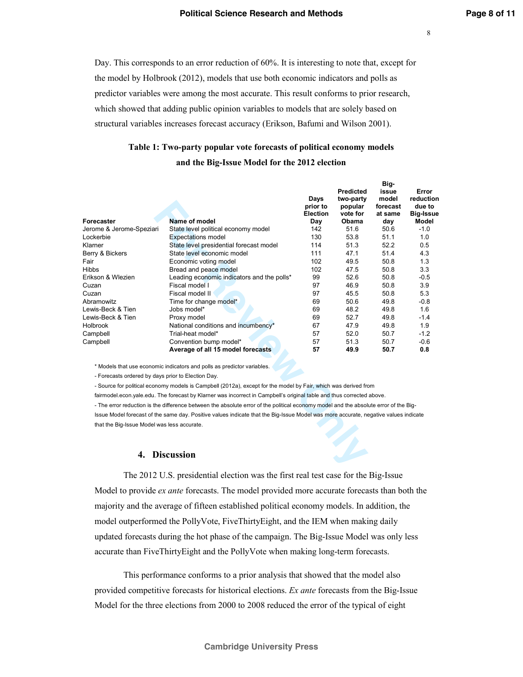**Big**

Day. This corresponds to an error reduction of 60%. It is interesting to note that, except for the model by Holbrook (2012), models that use both economic indicators and polls as predictor variables were among the most accurate. This result conforms to prior research, which showed that adding public opinion variables to models that are solely based on structural variables increases forecast accuracy (Erikson, Bafumi and Wilson 2001).

# **Table 1: Two-party popular vote forecasts of political economy models and the Big-Issue Model for the 2012 election**

|                                                    |                                                                                                                                      |          | Big-             |          |                  |
|----------------------------------------------------|--------------------------------------------------------------------------------------------------------------------------------------|----------|------------------|----------|------------------|
|                                                    |                                                                                                                                      |          | <b>Predicted</b> | issue    | Error            |
|                                                    |                                                                                                                                      | Days     | two-party        | model    | reduction        |
|                                                    |                                                                                                                                      | prior to | popular          | forecast | due to           |
|                                                    |                                                                                                                                      | Election | vote for         | at same  | <b>Big-Issue</b> |
| Forecaster                                         | Name of model                                                                                                                        | Day      | Obama            | day      | Model            |
| Jerome & Jerome-Speziari                           | State level political economy model                                                                                                  | 142      | 51.6             | 50.6     | $-1.0$           |
| Lockerbie                                          | <b>Expectations model</b>                                                                                                            | 130      | 53.8             | 51.1     | 1.0              |
| Klarner                                            | State level presidential forecast model                                                                                              | 114      | 51.3             | 52.2     | 0.5              |
| Berry & Bickers                                    | State level economic model                                                                                                           | 111      | 47.1             | 51.4     | 4.3              |
| Fair                                               | Economic voting model                                                                                                                | 102      | 49.5             | 50.8     | 1.3              |
| <b>Hibbs</b>                                       | Bread and peace model                                                                                                                | 102      | 47.5             | 50.8     | 3.3              |
| Erikson & Wlezien                                  | Leading economic indicators and the polls*                                                                                           | 99       | 52.6             | 50.8     | $-0.5$           |
| Cuzan                                              | Fiscal model I                                                                                                                       | 97       | 46.9             | 50.8     | 3.9              |
| Cuzan                                              | Fiscal model II                                                                                                                      | 97       | 45.5             | 50.8     | 5.3              |
| Abramowitz                                         | Time for change model*                                                                                                               | 69       | 50.6             | 49.8     | $-0.8$           |
| Lewis-Beck & Tien                                  | Jobs model*                                                                                                                          | 69       | 48.2             | 49.8     | 1.6              |
| Lewis-Beck & Tien                                  | Proxy model                                                                                                                          | 69       | 52.7             | 49.8     | $-1.4$           |
| Holbrook                                           | National conditions and incumbency*                                                                                                  | 67       | 47.9             | 49.8     | 1.9              |
| Campbell                                           | Trial-heat model*                                                                                                                    | 57       | 52.0             | 50.7     | $-1.2$           |
| Campbell                                           | Convention bump model*                                                                                                               | 57       | 51.3             | 50.7     | $-0.6$           |
|                                                    | Average of all 15 model forecasts                                                                                                    | 57       | 49.9             | 50.7     | 0.8              |
|                                                    | * Models that use economic indicators and polls as predictor variables.                                                              |          |                  |          |                  |
| - Forecasts ordered by days prior to Election Day. |                                                                                                                                      |          |                  |          |                  |
|                                                    | - Source for political economy models is Campbell (2012a), except for the model by Fair, which was derived from                      |          |                  |          |                  |
|                                                    | fairmodel.econ.yale.edu. The forecast by Klarner was incorrect in Campbell's original table and thus corrected above.                |          |                  |          |                  |
|                                                    | - The error reduction is the difference between the absolute error of the political economy model and the absolute error of the Big- |          |                  |          |                  |
|                                                    | Issue Model forecast of the same day. Positive values indicate that the Big-Issue Model was more accurate, negative values indicate  |          |                  |          |                  |
|                                                    |                                                                                                                                      |          |                  |          |                  |
| that the Big-Issue Model was less accurate.        |                                                                                                                                      |          |                  |          |                  |
|                                                    |                                                                                                                                      |          |                  |          |                  |
|                                                    |                                                                                                                                      |          |                  |          |                  |
| <b>Discussion</b><br>4.                            |                                                                                                                                      |          |                  |          |                  |
|                                                    |                                                                                                                                      |          |                  |          |                  |
|                                                    |                                                                                                                                      |          |                  |          |                  |

#### **4. Discussion**

The 2012 U.S. presidential election was the first real test case for the Big-Issue Model to provide *ex ante* forecasts. The model provided more accurate forecasts than both the majority and the average of fifteen established political economy models. In addition, the model outperformed the PollyVote, FiveThirtyEight, and the IEM when making daily updated forecasts during the hot phase of the campaign. The Big-Issue Model was only less accurate than FiveThirtyEight and the PollyVote when making long-term forecasts.

This performance conforms to a prior analysis that showed that the model also provided competitive forecasts for historical elections. *Ex ante* forecasts from the Big-Issue Model for the three elections from 2000 to 2008 reduced the error of the typical of eight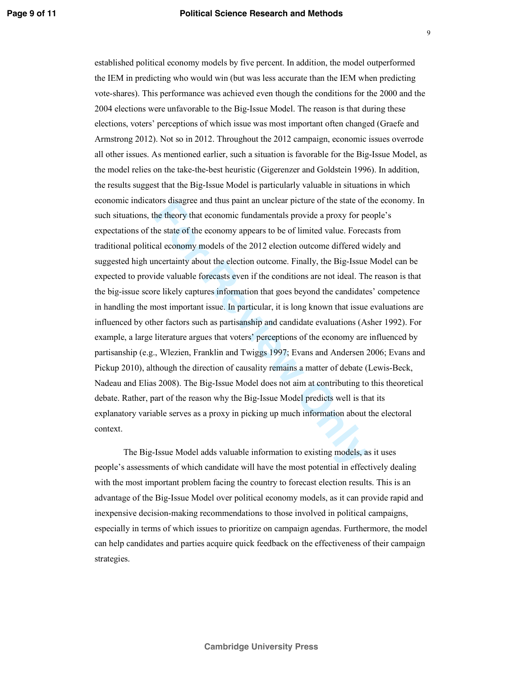For the staggler and thus paint an unclear picture of the state of the theory that economic fundamentals provide a proxy for perfect the economy appears to be of limited value. Forecal economy models of the 2012 election o established political economy models by five percent. In addition, the model outperformed the IEM in predicting who would win (but was less accurate than the IEM when predicting vote-shares). This performance was achieved even though the conditions for the 2000 and the 2004 elections were unfavorable to the Big-Issue Model. The reason is that during these elections, voters' perceptions of which issue was most important often changed (Graefe and Armstrong 2012). Not so in 2012. Throughout the 2012 campaign, economic issues overrode all other issues. As mentioned earlier, such a situation is favorable for the Big-Issue Model, as the model relies on the take-the-best heuristic (Gigerenzer and Goldstein 1996). In addition, the results suggest that the Big-Issue Model is particularly valuable in situations in which economic indicators disagree and thus paint an unclear picture of the state of the economy. In such situations, the theory that economic fundamentals provide a proxy for people's expectations of the state of the economy appears to be of limited value. Forecasts from traditional political economy models of the 2012 election outcome differed widely and suggested high uncertainty about the election outcome. Finally, the Big-Issue Model can be expected to provide valuable forecasts even if the conditions are not ideal. The reason is that the big-issue score likely captures information that goes beyond the candidates' competence in handling the most important issue. In particular, it is long known that issue evaluations are influenced by other factors such as partisanship and candidate evaluations (Asher 1992). For example, a large literature argues that voters' perceptions of the economy are influenced by partisanship (e.g., Wlezien, Franklin and Twiggs 1997; Evans and Andersen 2006; Evans and Pickup 2010), although the direction of causality remains a matter of debate (Lewis-Beck, Nadeau and Elias 2008). The Big-Issue Model does not aim at contributing to this theoretical debate. Rather, part of the reason why the Big-Issue Model predicts well is that its explanatory variable serves as a proxy in picking up much information about the electoral context.

The Big-Issue Model adds valuable information to existing models, as it uses people's assessments of which candidate will have the most potential in effectively dealing with the most important problem facing the country to forecast election results. This is an advantage of the Big-Issue Model over political economy models, as it can provide rapid and inexpensive decision-making recommendations to those involved in political campaigns, especially in terms of which issues to prioritize on campaign agendas. Furthermore, the model can help candidates and parties acquire quick feedback on the effectiveness of their campaign strategies.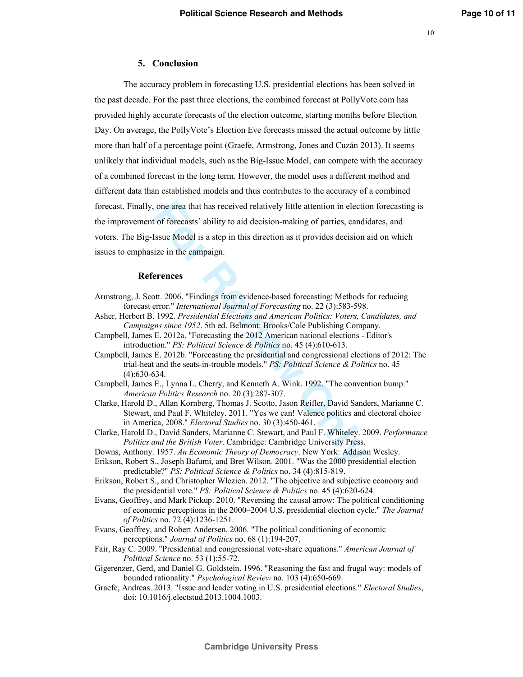#### **5. Conclusion**

one area that has received relatively little attention in electio<br>
of forecasts' ability to aid decision-making of parties, candid<br>
sisue Model is a step in this direction as it provides decision a<br>
ize in the campaign.<br> The accuracy problem in forecasting U.S. presidential elections has been solved in the past decade. For the past three elections, the combined forecast at PollyVote.com has provided highly accurate forecasts of the election outcome, starting months before Election Day. On average, the PollyVote's Election Eve forecasts missed the actual outcome by little more than half of a percentage point (Graefe, Armstrong, Jones and Cuzán 2013). It seems unlikely that individual models, such as the Big-Issue Model, can compete with the accuracy of a combined forecast in the long term. However, the model uses a different method and different data than established models and thus contributes to the accuracy of a combined forecast. Finally, one area that has received relatively little attention in election forecasting is the improvement of forecasts' ability to aid decision-making of parties, candidates, and voters. The Big-Issue Model is a step in this direction as it provides decision aid on which issues to emphasize in the campaign.

#### **References**

- Armstrong, J. Scott. 2006. "Findings from evidence-based forecasting: Methods for reducing forecast error." *International Journal of Forecasting* no. 22 (3):583-598.
- Asher, Herbert B. 1992. *Presidential Elections and American Politics: Voters, Candidates, and Campaigns since 1952*. 5th ed. Belmont: Brooks/Cole Publishing Company.
- Campbell, James E. 2012a. "Forecasting the 2012 American national elections Editor's introduction." *PS: Political Science & Politics* no. 45 (4):610-613.
- Campbell, James E. 2012b. "Forecasting the presidential and congressional elections of 2012: The trial-heat and the seats-in-trouble models." *PS: Political Science & Politics* no. 45 (4):630-634.
- Campbell, James E., Lynna L. Cherry, and Kenneth A. Wink. 1992. "The convention bump." *American Politics Research* no. 20 (3):287-307.
- Clarke, Harold D., Allan Kornberg, Thomas J. Scotto, Jason Reifler, David Sanders, Marianne C. Stewart, and Paul F. Whiteley. 2011. "Yes we can! Valence politics and electoral choice in America, 2008." *Electoral Studies* no. 30 (3):450-461.
- Clarke, Harold D., David Sanders, Marianne C. Stewart, and Paul F. Whiteley. 2009. *Performance Politics and the British Voter*. Cambridge: Cambridge University Press.
- Downs, Anthony. 1957. *An Economic Theory of Democracy*. New York: Addison Wesley.
- Erikson, Robert S., Joseph Bafumi, and Bret Wilson. 2001. "Was the 2000 presidential election predictable?" *PS: Political Science & Politics* no. 34 (4):815-819.
- Erikson, Robert S., and Christopher Wlezien. 2012. "The objective and subjective economy and the presidential vote." *PS: Political Science & Politics* no. 45 (4):620-624.
- Evans, Geoffrey, and Mark Pickup. 2010. "Reversing the causal arrow: The political conditioning of economic perceptions in the 2000–2004 U.S. presidential election cycle." *The Journal of Politics* no. 72 (4):1236-1251.
- Evans, Geoffrey, and Robert Andersen. 2006. "The political conditioning of economic perceptions." *Journal of Politics* no. 68 (1):194-207.
- Fair, Ray C. 2009. "Presidential and congressional vote-share equations." *American Journal of Political Science* no. 53 (1):55-72.
- Gigerenzer, Gerd, and Daniel G. Goldstein. 1996. "Reasoning the fast and frugal way: models of bounded rationality." *Psychological Review* no. 103 (4):650-669.
- Graefe, Andreas. 2013. "Issue and leader voting in U.S. presidential elections." *Electoral Studies*, doi: 10.1016/j.electstud.2013.1004.1003.